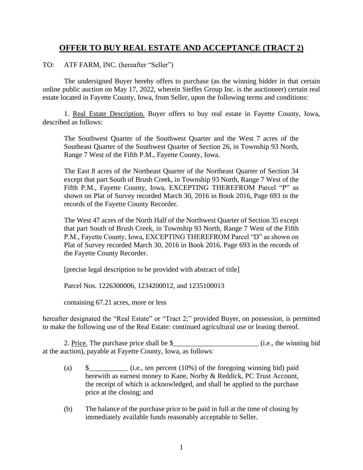## **OFFER TO BUY REAL ESTATE AND ACCEPTANCE (TRACT 2)**

TO: ATF FARM, INC. (hereafter "Seller")

The undersigned Buyer hereby offers to purchase (as the winning bidder in that certain online public auction on May 17, 2022, wherein Steffes Group Inc. is the auctioneer) certain real estate located in Fayette County, Iowa, from Seller, upon the following terms and conditions:

1. Real Estate Description. Buyer offers to buy real estate in Fayette County, Iowa, described as follows:

The Southwest Quarter of the Southwest Quarter and the West 7 acres of the Southeast Quarter of the Southwest Quarter of Section 26, in Township 93 North, Range 7 West of the Fifth P.M., Fayette County, Iowa.

The East 8 acres of the Northeast Quarter of the Northeast Quarter of Section 34 except that part South of Brush Creek, in Township 93 North, Range 7 West of the Fifth P.M., Fayette County, Iowa, EXCEPTING THEREFROM Parcel "P" as shown on Plat of Survey recorded March 30, 2016 in Book 2016, Page 693 in the records of the Fayette County Recorder.

The West 47 acres of the North Half of the Northwest Quarter of Section 35 except that part South of Brush Creek, in Township 93 North, Range 7 West of the Fifth P.M., Fayette County, Iowa, EXCEPTING THEREFROM Parcel "D" as shown on Plat of Survey recorded March 30, 2016 in Book 2016, Page 693 in the records of the Fayette County Recorder.

[precise legal description to be provided with abstract of title]

Parcel Nos. 1226300006, 1234200012, and 1235100013

containing 67.21 acres, more or less

hereafter designated the "Real Estate" or "Tract 2;" provided Buyer, on possession, is permitted to make the following use of the Real Estate: continued agricultural use or leasing thereof.

2. Price. The purchase price shall be  $\$$  (i.e., the winning bid at the auction), payable at Fayette County, Iowa, as follows:

- (a)  $\qquad \qquad \text{(i.e., ten percent (10%) of the foregoing winning bid)}$  paid herewith as earnest money to Kane, Norby & Reddick, PC Trust Account, the receipt of which is acknowledged, and shall be applied to the purchase price at the closing; and
- (b) The balance of the purchase price to be paid in full at the time of closing by immediately available funds reasonably acceptable to Seller.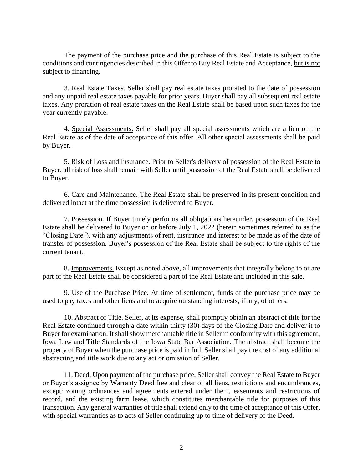The payment of the purchase price and the purchase of this Real Estate is subject to the conditions and contingencies described in this Offer to Buy Real Estate and Acceptance, but is not subject to financing.

3. Real Estate Taxes. Seller shall pay real estate taxes prorated to the date of possession and any unpaid real estate taxes payable for prior years. Buyer shall pay all subsequent real estate taxes. Any proration of real estate taxes on the Real Estate shall be based upon such taxes for the year currently payable.

4. Special Assessments. Seller shall pay all special assessments which are a lien on the Real Estate as of the date of acceptance of this offer. All other special assessments shall be paid by Buyer.

5. Risk of Loss and Insurance. Prior to Seller's delivery of possession of the Real Estate to Buyer, all risk of loss shall remain with Seller until possession of the Real Estate shall be delivered to Buyer.

6. Care and Maintenance. The Real Estate shall be preserved in its present condition and delivered intact at the time possession is delivered to Buyer.

7. Possession. If Buyer timely performs all obligations hereunder, possession of the Real Estate shall be delivered to Buyer on or before July 1, 2022 (herein sometimes referred to as the "Closing Date"), with any adjustments of rent, insurance and interest to be made as of the date of transfer of possession. Buyer's possession of the Real Estate shall be subject to the rights of the current tenant.

8. Improvements. Except as noted above, all improvements that integrally belong to or are part of the Real Estate shall be considered a part of the Real Estate and included in this sale.

9. Use of the Purchase Price. At time of settlement, funds of the purchase price may be used to pay taxes and other liens and to acquire outstanding interests, if any, of others.

10. Abstract of Title. Seller, at its expense, shall promptly obtain an abstract of title for the Real Estate continued through a date within thirty (30) days of the Closing Date and deliver it to Buyer for examination. It shall show merchantable title in Seller in conformity with this agreement, Iowa Law and Title Standards of the Iowa State Bar Association. The abstract shall become the property of Buyer when the purchase price is paid in full. Seller shall pay the cost of any additional abstracting and title work due to any act or omission of Seller.

11. Deed. Upon payment of the purchase price, Seller shall convey the Real Estate to Buyer or Buyer's assignee by Warranty Deed free and clear of all liens, restrictions and encumbrances, except: zoning ordinances and agreements entered under them, easements and restrictions of record, and the existing farm lease, which constitutes merchantable title for purposes of this transaction. Any general warranties of title shall extend only to the time of acceptance of this Offer, with special warranties as to acts of Seller continuing up to time of delivery of the Deed.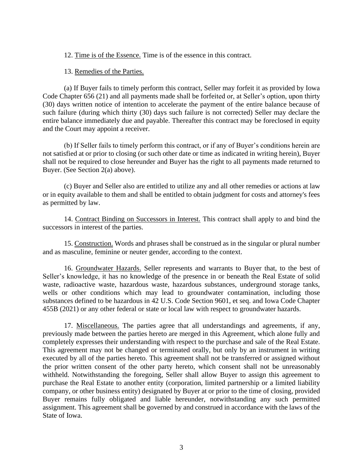12. Time is of the Essence. Time is of the essence in this contract.

13. Remedies of the Parties.

(a) If Buyer fails to timely perform this contract, Seller may forfeit it as provided by Iowa Code Chapter 656 (21) and all payments made shall be forfeited or, at Seller's option, upon thirty (30) days written notice of intention to accelerate the payment of the entire balance because of such failure (during which thirty (30) days such failure is not corrected) Seller may declare the entire balance immediately due and payable. Thereafter this contract may be foreclosed in equity and the Court may appoint a receiver.

(b) If Seller fails to timely perform this contract, or if any of Buyer's conditions herein are not satisfied at or prior to closing (or such other date or time as indicated in writing herein), Buyer shall not be required to close hereunder and Buyer has the right to all payments made returned to Buyer. (See Section 2(a) above).

(c) Buyer and Seller also are entitled to utilize any and all other remedies or actions at law or in equity available to them and shall be entitled to obtain judgment for costs and attorney's fees as permitted by law.

14. Contract Binding on Successors in Interest. This contract shall apply to and bind the successors in interest of the parties.

15. Construction. Words and phrases shall be construed as in the singular or plural number and as masculine, feminine or neuter gender, according to the context.

16. Groundwater Hazards. Seller represents and warrants to Buyer that, to the best of Seller's knowledge, it has no knowledge of the presence in or beneath the Real Estate of solid waste, radioactive waste, hazardous waste, hazardous substances, underground storage tanks, wells or other conditions which may lead to groundwater contamination, including those substances defined to be hazardous in 42 U.S. Code Section 9601, et seq. and Iowa Code Chapter 455B (2021) or any other federal or state or local law with respect to groundwater hazards.

17. Miscellaneous. The parties agree that all understandings and agreements, if any, previously made between the parties hereto are merged in this Agreement, which alone fully and completely expresses their understanding with respect to the purchase and sale of the Real Estate. This agreement may not be changed or terminated orally, but only by an instrument in writing executed by all of the parties hereto. This agreement shall not be transferred or assigned without the prior written consent of the other party hereto, which consent shall not be unreasonably withheld. Notwithstanding the foregoing, Seller shall allow Buyer to assign this agreement to purchase the Real Estate to another entity (corporation, limited partnership or a limited liability company, or other business entity) designated by Buyer at or prior to the time of closing, provided Buyer remains fully obligated and liable hereunder, notwithstanding any such permitted assignment. This agreement shall be governed by and construed in accordance with the laws of the State of Iowa.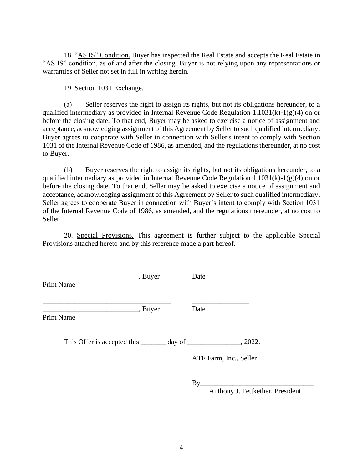18. "AS IS" Condition. Buyer has inspected the Real Estate and accepts the Real Estate in "AS IS" condition, as of and after the closing. Buyer is not relying upon any representations or warranties of Seller not set in full in writing herein.

19. Section 1031 Exchange.

(a) Seller reserves the right to assign its rights, but not its obligations hereunder, to a qualified intermediary as provided in Internal Revenue Code Regulation 1.1031(k)-1(g)(4) on or before the closing date. To that end, Buyer may be asked to exercise a notice of assignment and acceptance, acknowledging assignment of this Agreement by Seller to such qualified intermediary. Buyer agrees to cooperate with Seller in connection with Seller's intent to comply with Section 1031 of the Internal Revenue Code of 1986, as amended, and the regulations thereunder, at no cost to Buyer.

(b) Buyer reserves the right to assign its rights, but not its obligations hereunder, to a qualified intermediary as provided in Internal Revenue Code Regulation 1.1031(k)-1(g)(4) on or before the closing date. To that end, Seller may be asked to exercise a notice of assignment and acceptance, acknowledging assignment of this Agreement by Seller to such qualified intermediary. Seller agrees to cooperate Buyer in connection with Buyer's intent to comply with Section 1031 of the Internal Revenue Code of 1986, as amended, and the regulations thereunder, at no cost to Seller.

20. Special Provisions. This agreement is further subject to the applicable Special Provisions attached hereto and by this reference made a part hereof.

| <b>Print Name</b> | , Buyer | Date                   |         |
|-------------------|---------|------------------------|---------|
| <b>Print Name</b> | , Buyer | Date                   |         |
|                   |         |                        | , 2022. |
|                   |         | ATF Farm, Inc., Seller |         |

 $By$ 

Anthony J. Fettkether, President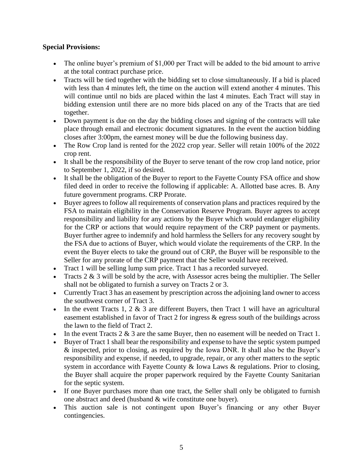## **Special Provisions:**

- The online buyer's premium of \$1,000 per Tract will be added to the bid amount to arrive at the total contract purchase price.
- Tracts will be tied together with the bidding set to close simultaneously. If a bid is placed with less than 4 minutes left, the time on the auction will extend another 4 minutes. This will continue until no bids are placed within the last 4 minutes. Each Tract will stay in bidding extension until there are no more bids placed on any of the Tracts that are tied together.
- Down payment is due on the day the bidding closes and signing of the contracts will take place through email and electronic document signatures. In the event the auction bidding closes after 3:00pm, the earnest money will be due the following business day.
- The Row Crop land is rented for the 2022 crop year. Seller will retain 100% of the 2022 crop rent.
- It shall be the responsibility of the Buyer to serve tenant of the row crop land notice, prior to September 1, 2022, if so desired.
- It shall be the obligation of the Buyer to report to the Fayette County FSA office and show filed deed in order to receive the following if applicable: A. Allotted base acres. B. Any future government programs. CRP Prorate.
- Buyer agrees to follow all requirements of conservation plans and practices required by the FSA to maintain eligibility in the Conservation Reserve Program. Buyer agrees to accept responsibility and liability for any actions by the Buyer which would endanger eligibility for the CRP or actions that would require repayment of the CRP payment or payments. Buyer further agree to indemnify and hold harmless the Sellers for any recovery sought by the FSA due to actions of Buyer, which would violate the requirements of the CRP. In the event the Buyer elects to take the ground out of CRP, the Buyer will be responsible to the Seller for any prorate of the CRP payment that the Seller would have received.
- Tract 1 will be selling lump sum price. Tract 1 has a recorded surveyed.
- Tracts  $2 \& 3$  will be sold by the acre, with Assessor acres being the multiplier. The Seller shall not be obligated to furnish a survey on Tracts 2 or 3.
- Currently Tract 3 has an easement by prescription across the adjoining land owner to access the southwest corner of Tract 3.
- In the event Tracts 1, 2  $\&$  3 are different Buyers, then Tract 1 will have an agricultural easement established in favor of Tract 2 for ingress & egress south of the buildings across the lawn to the field of Tract 2.
- In the event Tracts  $2 \& 3$  are the same Buyer, then no easement will be needed on Tract 1.
- Buyer of Tract 1 shall bear the responsibility and expense to have the septic system pumped & inspected, prior to closing, as required by the Iowa DNR. It shall also be the Buyer's responsibility and expense, if needed, to upgrade, repair, or any other matters to the septic system in accordance with Fayette County & Iowa Laws & regulations. Prior to closing, the Buyer shall acquire the proper paperwork required by the Fayette County Sanitarian for the septic system.
- If one Buyer purchases more than one tract, the Seller shall only be obligated to furnish one abstract and deed (husband & wife constitute one buyer).
- This auction sale is not contingent upon Buyer's financing or any other Buyer contingencies.